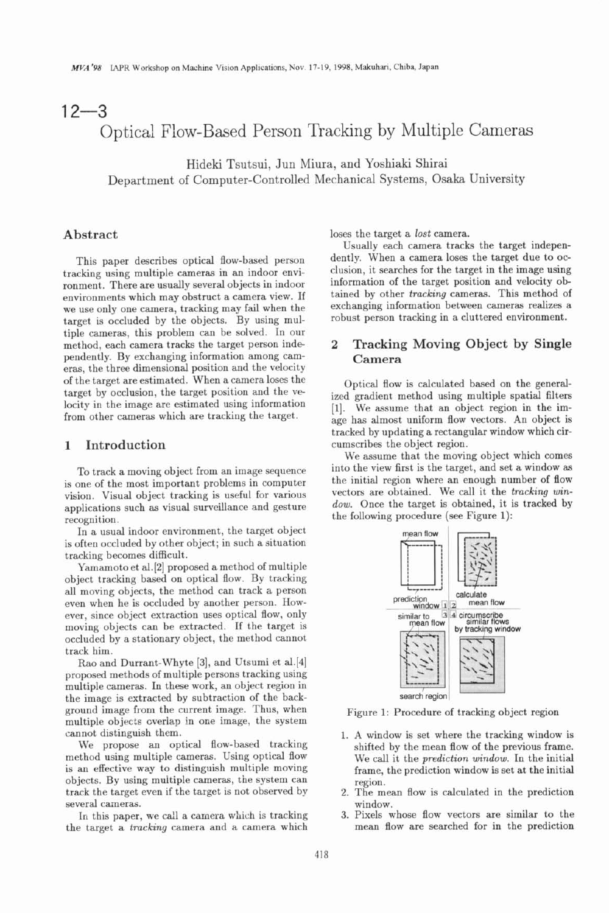# $12 - 3$ Optical Flow-Based Person Tracking by Multiple Cameras

Hideki Tsutsui, Jun Miura, and Yoshiaki Shirai Department of Computer-Controlled Mechanical Systems, Osaka University

## **Abstract**

This paper describes optical flow-based person tracking using multiple cameras in an indoor environment. There are usually several objects in indoor environments which may obstruct a camera view. If we use only one camera, tracking may fail when the target is occluded by the objects. By using multiple cameras, this problem can be solved. In our method, each camera tracks the target person independently. By exchanging information among cameras, the three dimensional position and the velocity of the target are estimated. When a camera loses the target by occlusion, the target position and the velocity in the image are estimated using information from other cameras which are tracking the target.

#### **1 Introduction**

To track a moving object from an image sequence is one of the most important problems in computer vision. Visual object tracking is useful for various applications such as visual surveillance and gesture recognition.

In a usual indoor environment, the target object is often occluded by other object; in such a situation tracking becomes difficult.

Yamamoto et al.[2] proposed a method of multiple object tracking based on optical flow. By tracking all moving objects, the method can track a person even when he is occluded by another person. However, since object extraction uses optical flow, only moving objects can be extracted. If the target is occluded by a stationary object, the method cannot track him.

**Rao** and Durrant-Whyte [3], and Utsumi et al.[4] proposed methods of multiple persons tracking using multiple cameras. In these work, an object region in the image is extracted by subtraction of the background image from the current image. Thus, when multiple objects cverlap in one image, the system cannot distinguish them.

We propose an optical flow-based tracking method using multiple cameras. Using optical flow is an effective way to distinguish multiple moving objects. By using multiple cameras, the system can track the target even if the target is not observed by several cameras.

In this paper, we call a camera which is tracking the target a tracking camera and a camera which loses the target a lost camera.

Usually each camera tracks the target independently. When a camera loses the target due to occlusion, it searches for the target in the image using information of the target position and velocity obtained by other tracking cameras. This method of exchanging information between cameras realizes a robust person tracking in a cluttered environment.

# **2 Tracking Moving Object by Single Camera**

Optical flow is calculated based on the generalized gradient method using multiple spatial filters [I]. We assume that an object region in the image has almost uniform flow vectors. An object is tracked by updating a rectangular window which circumscribes the object region.

We assume that the moving object which comes into the view first is the target, and set a window as the initial region where an enough number of flow vectors are obtained. We call it the tracking window. Once the target is obtained, it is tracked by the following procedure (see Figure 1):



Figure 1: Procedure of tracking object region

- 1. **A** window is set where the tracking window is shifted by the mean flow of the previous frame. We call it the prediction window. In the initial frame, the prediction window is set at the initial region.
- 2. The mean flow is calculated in the prediction window.
- 3. Pixels whose flow vectors are similar to the mean flow are searched for in the prediction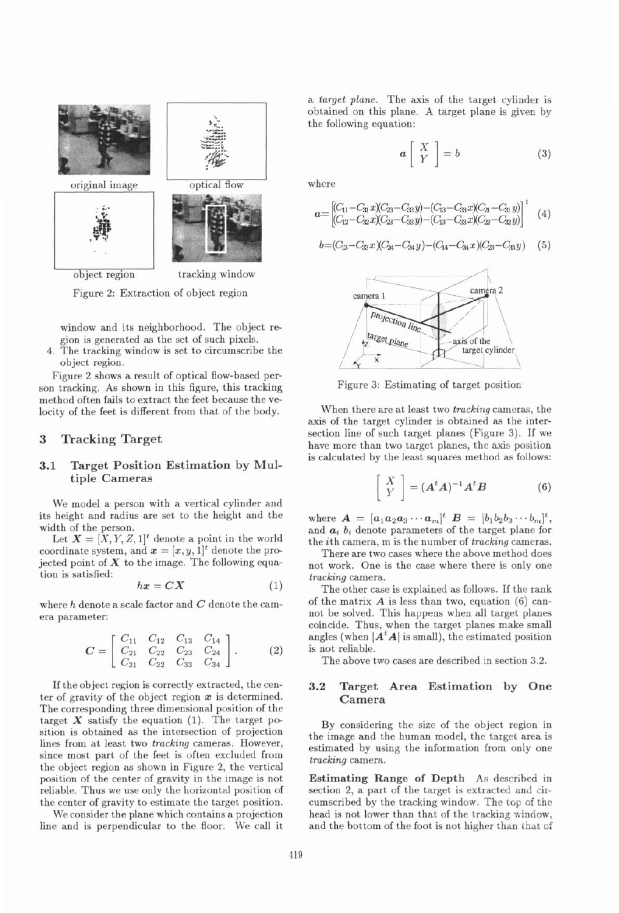

Figure 2: Extraction of object region

window and its neighborhood. The object region is generated as the set of such pixels.

4. The tracking window is set to circumscribe the object region.

Figure 2 shows a result of optical flow-based person tracking. As shown in this figure, this tracking method often fails to extract the feet because the velocity of the feet is different from that of the body.

### **3 Tracking Target**

#### **3.1 Target Position Estimation by Mult iple Cameras**

We model a person with a vertical cylinder and its height and radius are set to the height and the width of the person.

Let  $\mathbf{X} = [X, Y, Z, 1]^t$  denote a point in the world coordinate system, and  $x = [x, y, 1]^t$  denote the projected point of  $X$  to the image. The following equation is satisfied:

$$
hx = CX \tag{1}
$$

where **h** denote a scale factor and *C* denote the camera parameter:

$$
C = \begin{bmatrix} C_{11} & C_{12} & C_{13} & C_{14} \\ C_{21} & C_{22} & C_{23} & C_{24} \\ C_{31} & C_{32} & C_{33} & C_{34} \end{bmatrix} .
$$
 (2)

If the object region is correctly extracted, the center of gravity of the object region **x** is determined. The corresponding three dimensional position of the target  $X$  satisfy the equation (1). The target position is obtained as the intersection of projection lines from at least two tracking cameras. However, since most part of the feet is often excluded from the object region as shown in Figure 2, the vertical position of the center of gravity in the image is not reliable. Thus we use only the horizontal position of the center of gravity to estimate the target position.

We consider the plane which contains a projection line and is perpendicular to the floor. We call it a target plane. The axis of the target cylinder is obtained on this plane. A target plane is given by the following equation:

$$
a\left[\begin{array}{c} X \\ Y \end{array}\right] = b \tag{3}
$$

where

$$
a = \begin{bmatrix} (C_{11} - C_{31} x)(C_{23} - C_{33} y) - (C_{13} - C_{33} x)(C_{21} - C_{31} y) \\ (C_{12} - C_{22} x)(C_{23} - C_{33} y) - (C_{13} - C_{33} x)(C_{22} - C_{32} y) \end{bmatrix}^t
$$
(4)

$$
b = (C_{13} - C_{33}x)(C_{24} - C_{34}y) - (C_{14} - C_{34}x)(C_{23} - C_{33}y) \quad (5)
$$



Figure 3: Estimating of target position

When there are at least two tracking cameras, the axis of the target cylinder is obtained as the intersection line of such target planes (Figure 3). If we have more than two target planes, the axis position is calculated by the least squares method as follows:

$$
\left[\begin{array}{c} X \\ Y \end{array}\right] = (\boldsymbol{A}^t \boldsymbol{A})^{-1} \boldsymbol{A}^t \boldsymbol{B} \tag{6}
$$

where  $A = [a_1 a_2 a_3 \cdots a_m]^t$   $B = [b_1 b_2 b_3 \cdots b_m]^t$ , and  $a_i$ ,  $b_i$  denote parameters of the target plane for the ith camera, m is the number of tracking cameras.

There are two cases where the above method does not work. One is the case where there is only one tracking camera.

The other case is explained as follows. If the rank of the matrix *A* is less than two, equation *(6)* cannot be solved. This happens when all target planes coincide. Thus, when the target planes make small angles (when  $|A^t A|$  is small), the estimated position is not reliable.

The above two cases are described in section 3.2.

#### **3.2 Target Area Estimation by One Camera**

By considering the size of the object region in the image and the human model, the target area is estimated by using the information from only one tracking camera.

**Estimating Range of Depth** As described in section 2, a part of the target is extracted and circumscribed by the tracking window. The top of the head is not lower than that of the tracking window, and the bottom of the foot is not higher than that of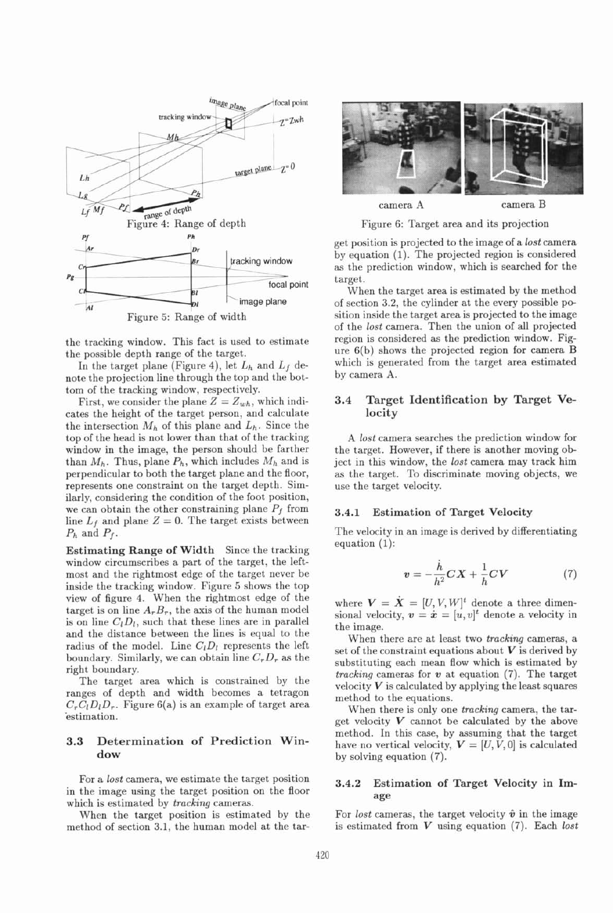

the tracking window. This fact is used to estimate the possible depth range of the target.

In the target plane (Figure 4), let  $L_h$  and  $L_f$  denote the projection line through the top and the bottom of the tracking window, respectively.

First, we consider the plane  $Z = Z_{wh}$ , which indicates the height of the target person, and calculate the intersection  $M_h$  of this plane and  $L_h$ . Since the top of the head is not lower than that of the tracking window in the image, the person should be farther than  $M_h$ . Thus, plane  $P_h$ , which includes  $M_h$  and is perpendicular to both the target plane and the floor, represents one constraint on the target depth. Similarly, considering the condition of the foot position, we can obtain the other constraining plane  $P_f$  from line  $L_f$  and plane  $Z = 0$ . The target exists between  $P_h$  and  $P_f$ .

Estimating Range of Width Since the tracking window circumscribes a part of the target, the leftmost and the rightmost edge of the target never be inside the tracking window. Figure 5 shows the top view of figure 4. When the rightmost edge of the target is on line  $A_r B_r$ , the axis of the human model is on line  $C<sub>l</sub>D<sub>l</sub>$ , such that these lines are in parallel and the distance between the lines is equal to the radius of the model. Line  $C<sub>1</sub>D<sub>1</sub>$  represents the left boundary. Similarly, we can obtain line  $C_rD_r$  as the right boundary.

The target area which is constrained by the ranges of depth and width becomes a tetragon  $C<sub>r</sub>C<sub>l</sub>D<sub>l</sub>D<sub>r</sub>$ . Figure 6(a) is an example of target area estimation.

#### 3.3 **Determination of Prediction Window**

For a *lost* camera, we estimate the target position in the image using the target position on the floor which is estimated by *tracking* cameras.

When the target position is estimated by the method of section 3.1, the human model at the tar-



Figure 6: Target area and its projection

get position is projected to the image of a *lost* camera by equation (1). The projected region is considered as the prediction window, which is searched for the target.

When the target area is estimated by the method of section 3.2, the cylinder at the every possible position inside the target area is projected to the image of the *lost* camera. Then the union of all projected region is considered as the prediction window. Figure 6(b) shows the projected region for camera B which is generated from the target area estimated by camera A.

#### **3.4 Target Identification by Target Velocity**

*A lost* camera searches the prediction window for the target. However, if there is another moving object in this window, the *lost* camera may track him as the target. To discriminate moving objects, we use the target velocity.

#### 3.4.1 Estimation of Target Velocity

The velocity in an image is derived by differentiating equation (1):

$$
v = -\frac{\dot{h}}{h^2}CX + \frac{1}{h}CV \tag{7}
$$

where  $V = \dot{X} = [U, V, W]^t$  denote a three dimensional velocity,  $v = \dot{x} = [u, v]^t$  denote a velocity in the image.

When there are at least two *tracking* cameras, a set of the constraint equations about  $V$  is derived by substituting each mean flow which is estimated by *tracking* cameras for *v* at equation (7). The target velocity  $V$  is calculated by applying the least squares method to the equations.

When there is only one *tracking* camera, the target velocity  $V$  cannot be calculated by the above method. In this case, by assuming that the target have no vertical velocity,  $V = [U, V, 0]$  is calculated by solving equation (7).

#### **3.4.2** Estimation of Target Velocity in **Im**age

For *lost* cameras, the target velocity  $\hat{v}$  in the image is estimated from V using equation (7). Each *lost*